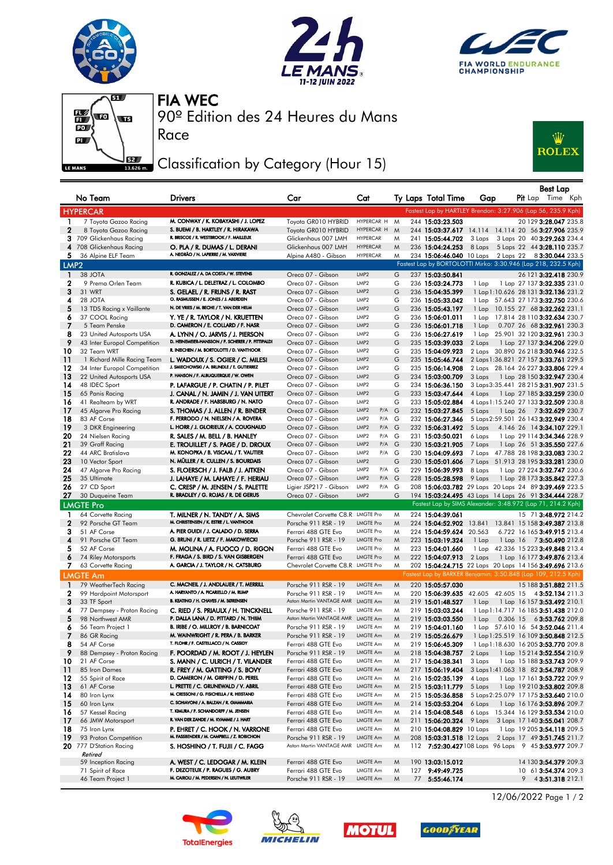







Race

90º Edition des 24 Heures du Mans FIA WEC

## Classification by Category (Hour 15)



|                  | No Team                                   | <b>Drivers</b>                                                                     | Car                                                       | Cat                                                        |        | Ty Laps Total Time                   | Gap              |  | Best Lap<br><b>Pit</b> Lap Time Kph                                                  |  |
|------------------|-------------------------------------------|------------------------------------------------------------------------------------|-----------------------------------------------------------|------------------------------------------------------------|--------|--------------------------------------|------------------|--|--------------------------------------------------------------------------------------|--|
|                  | <b>HYPERCAR</b>                           |                                                                                    |                                                           |                                                            |        |                                      |                  |  | Fastest Lap by HARTLEY Brendon: 3:27.906 (Lap 56, 235.9 Kph)                         |  |
| 1                | 7 Toyota Gazoo Racing                     | M. CONWAY / K. KOBAYASHI / J. LOPEZ                                                | Toyota GR010 HYBRID                                       | HYPERCAR H M                                               |        | 244 15:03:23.503                     |                  |  | 20 129 3:28.047 235.8                                                                |  |
| $\mathbf{2}$     | 8 Toyota Gazoo Racing                     | S. BUEMI / B. HARTLEY / R. HIRAKAWA                                                | Toyota GR010 HYBRID                                       | HYPERCAR H                                                 | M      |                                      |                  |  | 244 15:03:37.617 14.114 14.114 20 56 3:27.906 235.9                                  |  |
|                  | 3 709 Glickenhaus Racing                  | R. BRISCOE / R. WESTBROOK / F. MAILLEUX                                            | Glickenhaus 007 LMH                                       | <b>HYPERCAR</b>                                            | M      | 241 15:05:44.702                     | 3 Laps           |  | 3 Laps 20 40 3:29.263 234.4                                                          |  |
|                  | 4 708 Glickenhaus Racing                  | O. PLA / R. DUMAS / L. DERANI                                                      | Glickenhaus 007 LMH                                       | <b>HYPERCAR</b>                                            | M      | 236 15:04:24.253                     | 8 Laps           |  | 5 Laps 22 44 3:28.110 235.7                                                          |  |
| 5.               | 36 Alpine ELF Team                        | A. NEGRÃO / N. LAPIERRE / M. VAXIVIERE                                             | Alpine A480 - Gibson                                      | <b>HYPERCAR</b>                                            | M      |                                      |                  |  | 234 15:06:46.040 10 Laps 2 Laps 22 8 3:30.044 233.5                                  |  |
| LMP <sub>2</sub> |                                           |                                                                                    |                                                           |                                                            |        |                                      |                  |  | Fastest Lap by BORTOLOTTI Mirko: 3:30.946 (Lap 218, 232.5 Kph)                       |  |
| $\mathbf{1}$     | 38 JOTA                                   | R. GONZALEZ / A. DA COSTA / W. STEVENS                                             | Oreca 07 - Gibson                                         | LMP2                                                       | G      | 237 15:03:50.841                     |                  |  | 26 121 3:32.418 230.9                                                                |  |
| 2<br>3           | 9 Prema Orlen Team<br>31 WRT              | R. KUBICA / L. DELETRAZ / L. COLOMBO                                               | Oreca 07 - Gibson                                         | LMP2<br>LMP2                                               | G<br>G | 236 15:03:24.773                     | 1 Lap            |  | 1 Lap 27 137 <b>3:32.335</b> 231.0                                                   |  |
| 4                | 28 JOTA                                   | S. GELAEL / R. FRIJNS / R. RAST<br>O. RASMUSSEN / E. JONES / J. ABERDEIN           | Oreca 07 - Gibson<br>Oreca 07 - Gibson                    | LMP2                                                       | G      | 236 15:04:35.399<br>236 15:05:33.042 |                  |  | 1 Lap 1:10.626 28 131 3:32.136 231.2<br>1 Lap 57.643 27 173 3:32.750 230.6           |  |
| 5                | 13 TDS Racing x Vaillante                 | N. DE VRIES / M. BECHE / T. VAN DER HELM                                           | Oreca 07 - Gibson                                         | LMP2                                                       | G      | 236 15:05:43.197                     |                  |  | 1 Lap 10.155 27 68 3:32.262 231.1                                                    |  |
| 6                | 37 COOL Racing                            | Y. YE / R. TAYLOR / N. KRUETTEN                                                    | Oreca 07 - Gibson                                         | LMP2                                                       | G      | 236 15:06:01.011                     |                  |  | 1 Lap 17.814 28 110 3:32.634 230.7                                                   |  |
| - 7              | 5 Team Penske                             | D. CAMERON / E. COLLARD / F. NASR                                                  | Oreca 07 - Gibson                                         | LMP2                                                       | G      | 236 15:06:01.718                     | 1 Lap            |  | 0.707 26 68 3:32.961 230.3                                                           |  |
| 8                | 23 United Autosports USA                  | A. LYNN / O. JARVIS / J. PIERSON                                                   | Oreca 07 - Gibson                                         | LMP <sub>2</sub>                                           | G      | 236 15:06:27.619                     |                  |  | 1 Lap 25.901 32 120 3:32.961 230.3                                                   |  |
| 9                | 43 Inter Europol Competition              | D. HEINEMEIER-HANSSON / F. SCHERER / P. FITTIPALDI                                 | Oreca 07 - Gibson                                         | LMP2                                                       | G      | 235 15:03:39.033                     | 2 Laps           |  | 1 Lap 27 137 <b>3:34.206</b> 229.0                                                   |  |
| 10               | 32 Team WRT                               | R. INEICHEN / M. BORTOLOTTI / D. VANTHOOR                                          | Oreca 07 - Gibson                                         | LMP <sub>2</sub>                                           | G      | 235 15:04:09.923                     |                  |  | 2 Laps 30.890 26 218 3:30.946 232.5                                                  |  |
| 11               | 1 Richard Mille Racing Team               | L. WADOUX / S. OGIER / C. MILESI                                                   | Oreca 07 - Gibson                                         | LMP <sub>2</sub>                                           | G      | 235 15:05:46.744                     |                  |  | 2 Laps 1:36.821 27 157 3:33.761 229.5                                                |  |
| 12               | 34 Inter Europol Competition              | J. SMIECHOWSKI / A. BRUNDLE / E. GUTIERREZ<br>P. HANSON / F. ALBUQUERQUE / W. OWEN | Oreca 07 - Gibson                                         | LMP2                                                       | G      | 235 15:06:14.908                     |                  |  | 2 Laps 28.164 26 227 3:33.806 229.4                                                  |  |
| 13<br>14         | 22 United Autosports USA                  |                                                                                    | Oreca 07 - Gibson<br>Oreca 07 - Gibson                    | LMP <sub>2</sub><br>LMP2                                   | G<br>G | 234 15:03:00.709<br>234 15:06:36.150 | 3 Laps           |  | 1 Lap 28 150 3:32.947 230.4                                                          |  |
| -15              | 48 IDEC Sport<br>65 Panis Racing          | P. LAFARGUE / P. CHATIN / P. PILET<br>J. CANAL / N. JAMIN / J. VAN UITERT          | Oreca 07 - Gibson                                         | LMP2                                                       | G      | 233 15:03:47.644                     | 4 Laps           |  | 3 Laps 3:35.441 28 215 3:31.907 231.5<br>1 Lap 27 185 3:33.259 230.0                 |  |
| 16               | 41 Realteam by WRT                        | R. ANDRADE / F. HABSBURG / N. NATO                                                 | Oreca 07 - Gibson                                         | LMP <sub>2</sub>                                           | G      | 233 15:05:02.884                     |                  |  | 4 Laps 1:15.240 27 133 3:32.509 230.8                                                |  |
| 17               | 45 Algarve Pro Racing                     | S. THOMAS / J. ALLEN / R. BINDER                                                   | Oreca 07 - Gibson                                         | LMP <sub>2</sub><br>$P/A$ G                                |        | 232 15:03:27.845                     | 5 Laps           |  |                                                                                      |  |
| 18               | 83 AF Corse                               | F. PERRODO / N. NIELSEN / A. ROVERA                                                | Oreca 07 - Gibson                                         | LMP2<br>$P/A$ G                                            |        | 232 15:06:27.346                     |                  |  | 5 Laps 2:59.501 26 143 3:32.949 230.4                                                |  |
| 19               | 3 DKR Engineering                         | L. HORR / J. GLORIEUX / A. COUGNAUD                                                | Oreca 07 - Gibson                                         | LMP2<br>$P/A$ $G$                                          |        | 232 15:06:31.492                     | 5 Laps           |  | 4.146 26 14 3:34.107 229.1                                                           |  |
| 20               | 24 Nielsen Racing                         | R. SALES / M. BELL / B. HANLEY                                                     | Oreca 07 - Gibson                                         | LMP2<br>$P/A$ G                                            |        | 231 15:03:50.021                     | 6 Laps           |  | 1 Lap 29 114 3:34.346 228.9                                                          |  |
| 21               | 39 Graff Racing                           | E. TROUILLET / S. PAGE / D. DROUX                                                  | Oreca 07 - Gibson                                         | LMP <sub>2</sub><br>$P/A$ $G$                              |        | 230 15:03:21.905                     | 7 Laps           |  | 1 Lap 26 51 3:35.550 227.6                                                           |  |
| 22               | 44 ARC Bratislava                         | M. KONOPKA / B. VISCAAL / T. VAUTIER                                               | Oreca 07 - Gibson                                         | LMP2<br>$P/A$ G                                            |        | 230 15:04:09.693                     |                  |  | 7 Laps 47.788 28 198 3:33.083 230.2                                                  |  |
| 23               | 10 Vector Sport                           | N. MÜLLER / R. CULLEN / S. BOURDAIS                                                | Oreca 07 - Gibson                                         | LMP <sub>2</sub>                                           | G      | 230 15:05:01.606                     |                  |  | 7 Laps 51.913 28 195 3:33.281 230.0                                                  |  |
| 24               | 47 Algarve Pro Racing                     | S. FLOERSCH / J. FALB / J. AITKEN                                                  | Oreca 07 - Gibson                                         | P/A G<br>LMP <sub>2</sub><br>LMP <sub>2</sub><br>$P/A$ $G$ |        | 229 15:06:39.993                     | 8 Laps           |  | 1 Lap 27 224 3:32.747 230.6                                                          |  |
| 25<br>26         | 35 Ultimate<br>27 CD Sport                | J. LAHAYE / M. LAHAYE / F. HERIAU<br>C. CRESP / M. JENSEN / S. PALETTE             | Oreca 07 - Gibson<br>Ligier JSP217 - Gibson               | LMP2<br>$P/A$ G                                            |        | 228 15:05:28.598                     | 9 Laps           |  | 1 Lap 28 173 3:35.842 227.3<br>208 15:06:03.782 29 Laps 20 Laps 24 89 3:39.469 223.5 |  |
| 27               | 30 Duqueine Team                          | R. BRADLEY / G. ROJAS / R. DE GERUS                                                | Oreca 07 - Gibson                                         | LMP <sub>2</sub>                                           | G      |                                      |                  |  | 194 15:03:24.495 43 Laps 14 Laps 26 91 3:34.444 228.7                                |  |
|                  | <b>LMGTE Pro</b>                          |                                                                                    |                                                           |                                                            |        |                                      |                  |  | Fastest Lap by SIMS Alexander: 3:48.972 (Lap 71, 214.2 Kph)                          |  |
| 1                | 64 Corvette Racing                        | T. MILNER / N. TANDY / A. SIMS                                                     | Chevrolet Corvette C8, R LMGTE Pro                        |                                                            | M      | 224 15:04:39.061                     |                  |  | 15 71 3:48.972 214.2                                                                 |  |
| $\mathbf{2}$     | 92 Porsche GT Team                        | M. CHRISTENSEN / K. ESTRE / L. VANTHOOR                                            | Porsche 911 RSR - 19                                      | <b>LMGTE Pro</b>                                           | M      |                                      |                  |  | 224 15:04:52.902 13.841 13.841 15 158 3:49.387 213.8                                 |  |
| 3                | 51 AF Corse                               | A. PIER GUIDI / J. CALADO / D. SERRA                                               | Ferrari 488 GTE Evo                                       | LMGTE Pro                                                  | M      | 224 15:04:59.624 20.563              |                  |  | 6.722 16 165 3:49.915 213.4                                                          |  |
| 4                | 91 Porsche GT Team                        | G. BRUNI / R. LIETZ / F. MAKOWIECKI                                                | Porsche 911 RSR - 19                                      | <b>LMGTE Pro</b>                                           | M      | 223 15:03:19.324                     | 1 Lap            |  | 1 Lap 16 73:50.490 212.8                                                             |  |
| 5                | 52 AF Corse                               | M. MOLINA / A. FUOCO / D. RIGON                                                    | Ferrari 488 GTE Evo                                       | <b>LMGTE Pro</b>                                           | M      | 223 15:04:01.660                     |                  |  | 1 Lap 42.336 15 223 3:49.848 213.4                                                   |  |
| 6                | 74 Riley Motorsports                      | F. FRAGA / S. BIRD / S. VAN GISBERGEN                                              | Ferrari 488 GTE Evo                                       | <b>LMGTE Pro</b>                                           | M      | 222 15:04:07.913                     | 2 Laps           |  | 1 Lap 16 177 <b>3:49.876</b> 213.4                                                   |  |
| 7.               | 63 Corvette Racing                        | A. GARCIA / J. TAYLOR / N. CATSBURG                                                | Chevrolet Corvette C8.R LMGTE Pro                         |                                                            | M      |                                      |                  |  | 202 15:04:24.715 22 Laps 20 Laps 14 156 3:49.696 213.6                               |  |
|                  | <b>LMGTE Am</b>                           |                                                                                    |                                                           |                                                            |        |                                      |                  |  | Fastest Lap by BARKER Benjamin: 3:50.848 (Lap 109, 212.5 Kph)                        |  |
| $\blacksquare$   | 79 WeatherTech Racing                     | C. MACNEIL / J. ANDLAUER / T. MERRILL<br>A. HARYANTO / A. PICARIELLO / M. RUMP     | Porsche 911 RSR - 19                                      | LMGTE Am                                                   | M      | 220 15:05:57.030                     |                  |  | 15 188 3:51.882 211.5                                                                |  |
| 2<br>3           | 99 Hardpoint Motorsport                   | B. KEATING / H. CHAVES / M. SØRENSEN                                               | Porsche 911 RSR - 19<br>Aston Martin VANTAGE AMR LMGTE Am | <b>LMGTE Am</b>                                            | M      | 220 15:06:39.635                     | 42.605 42.605 15 |  | 4 3:52.134 211.3                                                                     |  |
| 4                | 33 TF Sport<br>77 Dempsey - Proton Racing | C. RIED / S. PRIAULX / H. TINCKNELL                                                | Porsche 911 RSR - 19                                      | LMGTE Am                                                   | M<br>M | 219 15:01:48.527<br>219 15:03:03.244 | 1 Lap            |  | 1 Lap 16 157 3:53.492 210.1<br>1 Lap 1:14.717 16 185 3:51.438 212.0                  |  |
| 5                | 98 Northwest AMR                          | P. DALLA LANA / D. PITTARD / N. THIIM                                              | Aston Martin VANTAGE AMR LMGTE Am                         |                                                            | M      | 219 15:03:03.550                     | 1 Lap            |  | 0.306 15 63:53.762 209.8                                                             |  |
| 6                | 56 Team Project 1                         | B. IRIBE / O. MILLROY / B. BARNICOAT                                               | Porsche 911 RSR - 19                                      | LMGTE Am                                                   | M      | 219 15:04:01.160                     |                  |  | 1 Lap 57.610 16 54 3:52.046 211.4                                                    |  |
| 7                | 86 GR Racing                              | M. WAINWRIGHT / R. PERA / B. BARKER                                                | Porsche 911 RSR - 19                                      | LMGTE Am                                                   | M      | 219 15:05:26.679                     |                  |  | 1 Lap 1:25.519 16 109 3:50.848 212.5                                                 |  |
| 8                | 54 AF Corse                               | T. FLOHR / F. CASTELLACCI / N. CASSIDY                                             | Ferrari 488 GTE Evo                                       | LMGTE Am                                                   | M      | 219 15:06:45.309                     |                  |  | 1 Lap 1:18.630 16 205 3:53.770 209.8                                                 |  |
| 9                | 88 Dempsey - Proton Racing                | F. POORDAD / M. ROOT / J. HEYLEN                                                   | Porsche 911 RSR - 19                                      | LMGTE Am                                                   | M      | 218 15:04:38.757                     | 2 Laps           |  | 1 Lap 15 214 <b>3:52.554</b> 210.9                                                   |  |
| 10               | 21 AF Corse                               | S. MANN / C. ULRICH / T. VILANDER                                                  | Ferrari 488 GTE Evo                                       | LMGTE Am                                                   | M      | 217 15:04:38.341                     | 3 Laps           |  | 1 Lap 15 188 3:53.743 209.9                                                          |  |
| 11               | 85 Iron Dames                             | R. FREY / M. GATTING / S. BOVY                                                     | Ferrari 488 GTE Evo                                       | LMGTE Am                                                   | M      | 217 15:06:19.404                     |                  |  | 3 Laps 1:41.063 18 82 3:54.787 208.9                                                 |  |
| 12               | 55 Spirit of Race                         | D. CAMERON / M. GRIFFIN / D. PEREL<br>L. PRETTE / C. GRUNEWALD / V. ABRIL          | Ferrari 488 GTE Evo                                       | LMGTE Am                                                   | M      | 216 15:02:35.139                     | 4 Laps           |  | 1 Lap 17 161 3:53.722 209.9                                                          |  |
| -13<br>14        | 61 AF Corse<br>80 Iron Lynx               | M. CRESSONI / G. FISICHELLA / R. HEISTAND                                          | Ferrari 488 GTE Evo<br>Ferrari 488 GTE Evo                | LMGTE Am<br>LMGTE Am                                       | M<br>M | 215 15:03:11.779<br>215 15:05:36.858 | 5 Laps           |  | 1 Lap 19 210 3:53.802 209.8<br>5 Laps 2:25.079 17 175 3:53.640 210.0                 |  |
| -15              | 60 Iron Lynx                              | C. SCHIAVONI / A. BALZAN / R. GIAMMARIA                                            | Ferrari 488 GTE Evo                                       | LMGTE Am                                                   | M      | 214 15:03:53.204                     |                  |  | 6 Laps 1 Lap 16 176 3:53.896 209.7                                                   |  |
| 16               | 57 Kessel Racing                          | T. KIMURA / F. SCHANDORFF / M. JENSEN                                              | Ferrari 488 GTE Evo                                       | LMGTE Am                                                   | M      | 214 15:04:08.548                     |                  |  | 6 Laps 15.344 16 129 3:53.534 210.0                                                  |  |
| -17              | 66 JMW Motorsport                         | R. VAN DER ZANDE / M. KVAMME / J. HART                                             | Ferrari 488 GTE Evo                                       | LMGTE Am                                                   | M      | 211 15:06:20.324                     |                  |  | 9 Laps 3 Laps 17 140 3:55.041 208.7                                                  |  |
| 18               | 75 Iron Lynx                              | P. EHRET / C. HOOK / N. VARRONE                                                    | Ferrari 488 GTE Evo                                       | LMGTE Am                                                   | M      | 210 15:04:08.829 10 Laps             |                  |  | 1 Lap 19 205 3:54.118 209.5                                                          |  |
| 19               | 93 Proton Competition                     | M. FASSBENDER / M. CAMPBELL / Z. ROBICHON                                          | Porsche 911 RSR - 19                                      | LMGTE Am                                                   | M      |                                      |                  |  | 208 15:03:31.518 12 Laps 2 Laps 17 49 3:51.745 211.7                                 |  |
|                  | 20 777 D'Station Racing<br>Retired        | S. HOSHINO / T. FUJII / C. FAGG                                                    | Aston Martin VANTAGE AMR                                  | LMGTE Am                                                   | M      |                                      |                  |  | 112 7:52:30.427108 Laps 96 Laps 9 45 3:53.977 209.7                                  |  |
|                  | 59 Inception Racing                       | A. WEST / C. LEDOGAR / M. KLEIN                                                    | Ferrari 488 GTE Evo                                       | LMGTE Am                                                   | M      | 190 13:03:15.012                     |                  |  | 14 130 3:54.379 209.3                                                                |  |
|                  | 71 Spirit of Race                         | F. DEZOTEUX / P. RAGUES / G. AUBRY                                                 | Ferrari 488 GTE Evo                                       | LMGTE Am                                                   | M      | 127 9:49:49.725                      |                  |  | 10 61 3:54.374 209.3                                                                 |  |
|                  | 46 Team Project 1                         | M. CAIROLI / M. PEDERSEN / N. LEUTWILER                                            | Porsche 911 RSR - 19                                      | LMGTE Am                                                   | M      | 77 5:55:46.174                       |                  |  | $9$ 4 3:51.318 212.1                                                                 |  |









12/06/2022 Page 1 / 2